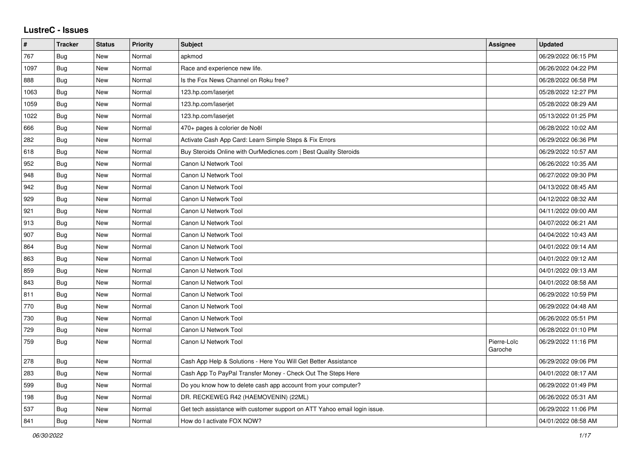## **LustreC - Issues**

| #    | <b>Tracker</b> | <b>Status</b> | <b>Priority</b> | <b>Subject</b>                                                            | Assignee               | <b>Updated</b>      |
|------|----------------|---------------|-----------------|---------------------------------------------------------------------------|------------------------|---------------------|
| 767  | Bug            | <b>New</b>    | Normal          | apkmod                                                                    |                        | 06/29/2022 06:15 PM |
| 1097 | Bug            | <b>New</b>    | Normal          | Race and experience new life.                                             |                        | 06/26/2022 04:22 PM |
| 888  | Bug            | <b>New</b>    | Normal          | Is the Fox News Channel on Roku free?                                     |                        | 06/28/2022 06:58 PM |
| 1063 | <b>Bug</b>     | <b>New</b>    | Normal          | 123.hp.com/laserjet                                                       |                        | 05/28/2022 12:27 PM |
| 1059 | Bug            | <b>New</b>    | Normal          | 123.hp.com/laserjet                                                       |                        | 05/28/2022 08:29 AM |
| 1022 | <b>Bug</b>     | <b>New</b>    | Normal          | 123.hp.com/laserjet                                                       |                        | 05/13/2022 01:25 PM |
| 666  | Bug            | <b>New</b>    | Normal          | 470+ pages à colorier de Noël                                             |                        | 06/28/2022 10:02 AM |
| 282  | Bug            | <b>New</b>    | Normal          | Activate Cash App Card: Learn Simple Steps & Fix Errors                   |                        | 06/29/2022 06:36 PM |
| 618  | Bug            | New           | Normal          | Buy Steroids Online with OurMedicnes.com   Best Quality Steroids          |                        | 06/29/2022 10:57 AM |
| 952  | Bug            | New           | Normal          | Canon IJ Network Tool                                                     |                        | 06/26/2022 10:35 AM |
| 948  | Bug            | New           | Normal          | Canon IJ Network Tool                                                     |                        | 06/27/2022 09:30 PM |
| 942  | Bug            | New           | Normal          | Canon IJ Network Tool                                                     |                        | 04/13/2022 08:45 AM |
| 929  | Bug            | <b>New</b>    | Normal          | Canon IJ Network Tool                                                     |                        | 04/12/2022 08:32 AM |
| 921  | Bug            | New           | Normal          | Canon IJ Network Tool                                                     |                        | 04/11/2022 09:00 AM |
| 913  | Bug            | <b>New</b>    | Normal          | Canon IJ Network Tool                                                     |                        | 04/07/2022 06:21 AM |
| 907  | Bug            | <b>New</b>    | Normal          | Canon IJ Network Tool                                                     |                        | 04/04/2022 10:43 AM |
| 864  | Bug            | <b>New</b>    | Normal          | Canon IJ Network Tool                                                     |                        | 04/01/2022 09:14 AM |
| 863  | Bug            | New           | Normal          | Canon IJ Network Tool                                                     |                        | 04/01/2022 09:12 AM |
| 859  | Bug            | <b>New</b>    | Normal          | Canon IJ Network Tool                                                     |                        | 04/01/2022 09:13 AM |
| 843  | Bug            | <b>New</b>    | Normal          | Canon IJ Network Tool                                                     |                        | 04/01/2022 08:58 AM |
| 811  | Bug            | New           | Normal          | Canon IJ Network Tool                                                     |                        | 06/29/2022 10:59 PM |
| 770  | <b>Bug</b>     | <b>New</b>    | Normal          | Canon IJ Network Tool                                                     |                        | 06/29/2022 04:48 AM |
| 730  | <b>Bug</b>     | <b>New</b>    | Normal          | Canon IJ Network Tool                                                     |                        | 06/26/2022 05:51 PM |
| 729  | <b>Bug</b>     | New           | Normal          | Canon IJ Network Tool                                                     |                        | 06/28/2022 01:10 PM |
| 759  | Bug            | New           | Normal          | Canon IJ Network Tool                                                     | Pierre-Loïc<br>Garoche | 06/29/2022 11:16 PM |
| 278  | Bug            | New           | Normal          | Cash App Help & Solutions - Here You Will Get Better Assistance           |                        | 06/29/2022 09:06 PM |
| 283  | Bug            | <b>New</b>    | Normal          | Cash App To PayPal Transfer Money - Check Out The Steps Here              |                        | 04/01/2022 08:17 AM |
| 599  | Bug            | <b>New</b>    | Normal          | Do you know how to delete cash app account from your computer?            |                        | 06/29/2022 01:49 PM |
| 198  | Bug            | <b>New</b>    | Normal          | DR. RECKEWEG R42 (HAEMOVENIN) (22ML)                                      |                        | 06/26/2022 05:31 AM |
| 537  | Bug            | <b>New</b>    | Normal          | Get tech assistance with customer support on ATT Yahoo email login issue. |                        | 06/29/2022 11:06 PM |
| 841  | Bug            | New           | Normal          | How do I activate FOX NOW?                                                |                        | 04/01/2022 08:58 AM |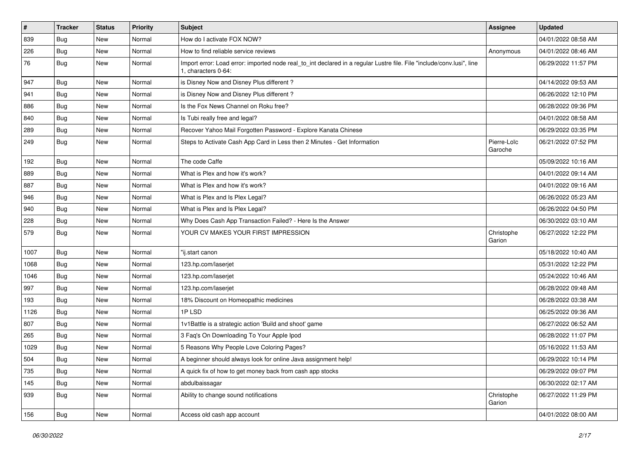| $\sharp$ | <b>Tracker</b> | <b>Status</b> | <b>Priority</b> | <b>Subject</b>                                                                                                                               | Assignee               | <b>Updated</b>      |
|----------|----------------|---------------|-----------------|----------------------------------------------------------------------------------------------------------------------------------------------|------------------------|---------------------|
| 839      | <b>Bug</b>     | New           | Normal          | How do I activate FOX NOW?                                                                                                                   |                        | 04/01/2022 08:58 AM |
| 226      | Bug            | <b>New</b>    | Normal          | How to find reliable service reviews                                                                                                         | Anonymous              | 04/01/2022 08:46 AM |
| 76       | Bug            | New           | Normal          | Import error: Load error: imported node real_to_int declared in a regular Lustre file. File "include/conv.lusi", line<br>1. characters 0-64: |                        | 06/29/2022 11:57 PM |
| 947      | Bug            | <b>New</b>    | Normal          | is Disney Now and Disney Plus different?                                                                                                     |                        | 04/14/2022 09:53 AM |
| 941      | Bug            | <b>New</b>    | Normal          | is Disney Now and Disney Plus different?                                                                                                     |                        | 06/26/2022 12:10 PM |
| 886      | Bug            | <b>New</b>    | Normal          | Is the Fox News Channel on Roku free?                                                                                                        |                        | 06/28/2022 09:36 PM |
| 840      | Bug            | <b>New</b>    | Normal          | Is Tubi really free and legal?                                                                                                               |                        | 04/01/2022 08:58 AM |
| 289      | Bug            | <b>New</b>    | Normal          | Recover Yahoo Mail Forgotten Password - Explore Kanata Chinese                                                                               |                        | 06/29/2022 03:35 PM |
| 249      | Bug            | <b>New</b>    | Normal          | Steps to Activate Cash App Card in Less then 2 Minutes - Get Information                                                                     | Pierre-Loïc<br>Garoche | 06/21/2022 07:52 PM |
| 192      | Bug            | <b>New</b>    | Normal          | The code Caffe                                                                                                                               |                        | 05/09/2022 10:16 AM |
| 889      | Bug            | New           | Normal          | What is Plex and how it's work?                                                                                                              |                        | 04/01/2022 09:14 AM |
| 887      | Bug            | <b>New</b>    | Normal          | What is Plex and how it's work?                                                                                                              |                        | 04/01/2022 09:16 AM |
| 946      | Bug            | <b>New</b>    | Normal          | What is Plex and Is Plex Legal?                                                                                                              |                        | 06/26/2022 05:23 AM |
| 940      | Bug            | <b>New</b>    | Normal          | What is Plex and Is Plex Legal?                                                                                                              |                        | 06/26/2022 04:50 PM |
| 228      | Bug            | New           | Normal          | Why Does Cash App Transaction Failed? - Here Is the Answer                                                                                   |                        | 06/30/2022 03:10 AM |
| 579      | Bug            | New           | Normal          | YOUR CV MAKES YOUR FIRST IMPRESSION                                                                                                          | Christophe<br>Garion   | 06/27/2022 12:22 PM |
| 1007     | Bug            | <b>New</b>    | Normal          | "ij.start canon                                                                                                                              |                        | 05/18/2022 10:40 AM |
| 1068     | Bug            | <b>New</b>    | Normal          | 123.hp.com/laserjet                                                                                                                          |                        | 05/31/2022 12:22 PM |
| 1046     | Bug            | <b>New</b>    | Normal          | 123.hp.com/laserjet                                                                                                                          |                        | 05/24/2022 10:46 AM |
| 997      | Bug            | New           | Normal          | 123.hp.com/laserjet                                                                                                                          |                        | 06/28/2022 09:48 AM |
| 193      | Bug            | <b>New</b>    | Normal          | 18% Discount on Homeopathic medicines                                                                                                        |                        | 06/28/2022 03:38 AM |
| 1126     | Bug            | <b>New</b>    | Normal          | 1PLSD                                                                                                                                        |                        | 06/25/2022 09:36 AM |
| 807      | Bug            | <b>New</b>    | Normal          | 1v1Battle is a strategic action 'Build and shoot' game                                                                                       |                        | 06/27/2022 06:52 AM |
| 265      | Bug            | <b>New</b>    | Normal          | 3 Faq's On Downloading To Your Apple Ipod                                                                                                    |                        | 06/28/2022 11:07 PM |
| 1029     | Bug            | <b>New</b>    | Normal          | 5 Reasons Why People Love Coloring Pages?                                                                                                    |                        | 05/16/2022 11:53 AM |
| 504      | Bug            | New           | Normal          | A beginner should always look for online Java assignment help!                                                                               |                        | 06/29/2022 10:14 PM |
| 735      | Bug            | New           | Normal          | A quick fix of how to get money back from cash app stocks                                                                                    |                        | 06/29/2022 09:07 PM |
| 145      | Bug            | New           | Normal          | abdulbaissagar                                                                                                                               |                        | 06/30/2022 02:17 AM |
| 939      | Bug            | New           | Normal          | Ability to change sound notifications                                                                                                        | Christophe<br>Garion   | 06/27/2022 11:29 PM |
| 156      | Bug            | New           | Normal          | Access old cash app account                                                                                                                  |                        | 04/01/2022 08:00 AM |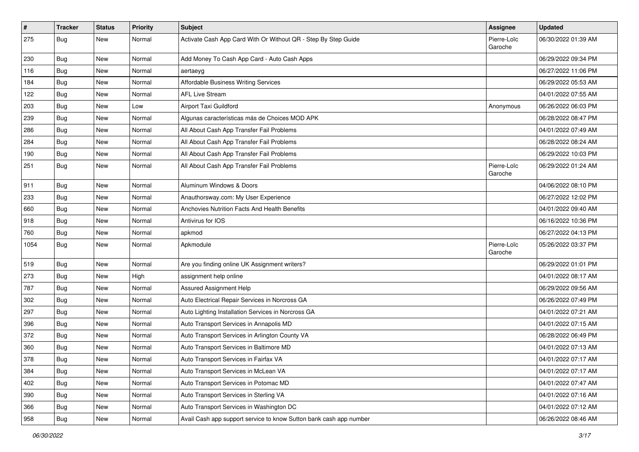| $\vert$ # | <b>Tracker</b> | <b>Status</b> | <b>Priority</b> | Subject                                                            | <b>Assignee</b>        | <b>Updated</b>      |
|-----------|----------------|---------------|-----------------|--------------------------------------------------------------------|------------------------|---------------------|
| 275       | <b>Bug</b>     | New           | Normal          | Activate Cash App Card With Or Without QR - Step By Step Guide     | Pierre-Loïc<br>Garoche | 06/30/2022 01:39 AM |
| 230       | Bug            | New           | Normal          | Add Money To Cash App Card - Auto Cash Apps                        |                        | 06/29/2022 09:34 PM |
| 116       | Bug            | New           | Normal          | aertaeyg                                                           |                        | 06/27/2022 11:06 PM |
| 184       | Bug            | <b>New</b>    | Normal          | Affordable Business Writing Services                               |                        | 06/29/2022 05:53 AM |
| 122       | Bug            | New           | Normal          | <b>AFL Live Stream</b>                                             |                        | 04/01/2022 07:55 AM |
| 203       | <b>Bug</b>     | New           | Low             | Airport Taxi Guildford                                             | Anonymous              | 06/26/2022 06:03 PM |
| 239       | <b>Bug</b>     | <b>New</b>    | Normal          | Algunas características más de Choices MOD APK                     |                        | 06/28/2022 08:47 PM |
| 286       | <b>Bug</b>     | New           | Normal          | All About Cash App Transfer Fail Problems                          |                        | 04/01/2022 07:49 AM |
| 284       | <b>Bug</b>     | <b>New</b>    | Normal          | All About Cash App Transfer Fail Problems                          |                        | 06/28/2022 08:24 AM |
| 190       | Bug            | New           | Normal          | All About Cash App Transfer Fail Problems                          |                        | 06/29/2022 10:03 PM |
| 251       | Bug            | New           | Normal          | All About Cash App Transfer Fail Problems                          | Pierre-Loïc<br>Garoche | 06/29/2022 01:24 AM |
| 911       | Bug            | New           | Normal          | Aluminum Windows & Doors                                           |                        | 04/06/2022 08:10 PM |
| 233       | Bug            | New           | Normal          | Anauthorsway.com: My User Experience                               |                        | 06/27/2022 12:02 PM |
| 660       | Bug            | <b>New</b>    | Normal          | Anchovies Nutrition Facts And Health Benefits                      |                        | 04/01/2022 09:40 AM |
| 918       | <b>Bug</b>     | New           | Normal          | Antivirus for IOS                                                  |                        | 06/16/2022 10:36 PM |
| 760       | Bug            | <b>New</b>    | Normal          | apkmod                                                             |                        | 06/27/2022 04:13 PM |
| 1054      | Bug            | New           | Normal          | Apkmodule                                                          | Pierre-Loïc<br>Garoche | 05/26/2022 03:37 PM |
| 519       | Bug            | New           | Normal          | Are you finding online UK Assignment writers?                      |                        | 06/29/2022 01:01 PM |
| 273       | Bug            | New           | High            | assignment help online                                             |                        | 04/01/2022 08:17 AM |
| 787       | <b>Bug</b>     | <b>New</b>    | Normal          | Assured Assignment Help                                            |                        | 06/29/2022 09:56 AM |
| 302       | Bug            | New           | Normal          | Auto Electrical Repair Services in Norcross GA                     |                        | 06/26/2022 07:49 PM |
| 297       | Bug            | <b>New</b>    | Normal          | Auto Lighting Installation Services in Norcross GA                 |                        | 04/01/2022 07:21 AM |
| 396       | <b>Bug</b>     | <b>New</b>    | Normal          | Auto Transport Services in Annapolis MD                            |                        | 04/01/2022 07:15 AM |
| 372       | <b>Bug</b>     | New           | Normal          | Auto Transport Services in Arlington County VA                     |                        | 06/28/2022 06:49 PM |
| 360       | <b>Bug</b>     | New           | Normal          | Auto Transport Services in Baltimore MD                            |                        | 04/01/2022 07:13 AM |
| 378       | Bug            | New           | Normal          | Auto Transport Services in Fairfax VA                              |                        | 04/01/2022 07:17 AM |
| 384       | Bug            | New           | Normal          | Auto Transport Services in McLean VA                               |                        | 04/01/2022 07:17 AM |
| 402       | Bug            | New           | Normal          | Auto Transport Services in Potomac MD                              |                        | 04/01/2022 07:47 AM |
| 390       | Bug            | New           | Normal          | Auto Transport Services in Sterling VA                             |                        | 04/01/2022 07:16 AM |
| 366       | Bug            | New           | Normal          | Auto Transport Services in Washington DC                           |                        | 04/01/2022 07:12 AM |
| 958       | <b>Bug</b>     | New           | Normal          | Avail Cash app support service to know Sutton bank cash app number |                        | 06/26/2022 08:46 AM |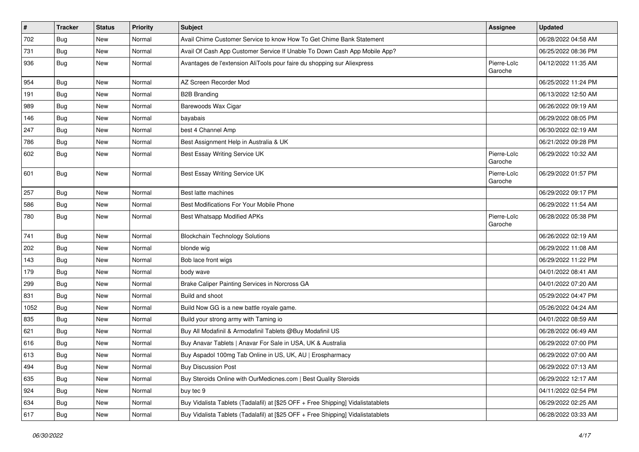| $\vert$ # | <b>Tracker</b> | <b>Status</b> | <b>Priority</b> | <b>Subject</b>                                                                   | <b>Assignee</b>        | <b>Updated</b>      |
|-----------|----------------|---------------|-----------------|----------------------------------------------------------------------------------|------------------------|---------------------|
| 702       | Bug            | New           | Normal          | Avail Chime Customer Service to know How To Get Chime Bank Statement             |                        | 06/28/2022 04:58 AM |
| 731       | Bug            | <b>New</b>    | Normal          | Avail Of Cash App Customer Service If Unable To Down Cash App Mobile App?        |                        | 06/25/2022 08:36 PM |
| 936       | Bug            | <b>New</b>    | Normal          | Avantages de l'extension AliTools pour faire du shopping sur Aliexpress          | Pierre-Loïc<br>Garoche | 04/12/2022 11:35 AM |
| 954       | Bug            | New           | Normal          | AZ Screen Recorder Mod                                                           |                        | 06/25/2022 11:24 PM |
| 191       | Bug            | New           | Normal          | <b>B2B Branding</b>                                                              |                        | 06/13/2022 12:50 AM |
| 989       | Bug            | New           | Normal          | Barewoods Wax Cigar                                                              |                        | 06/26/2022 09:19 AM |
| 146       | Bug            | <b>New</b>    | Normal          | bayabais                                                                         |                        | 06/29/2022 08:05 PM |
| 247       | <b>Bug</b>     | New           | Normal          | best 4 Channel Amp                                                               |                        | 06/30/2022 02:19 AM |
| 786       | Bug            | <b>New</b>    | Normal          | Best Assignment Help in Australia & UK                                           |                        | 06/21/2022 09:28 PM |
| 602       | Bug            | <b>New</b>    | Normal          | Best Essay Writing Service UK                                                    | Pierre-Loïc<br>Garoche | 06/29/2022 10:32 AM |
| 601       | Bug            | New           | Normal          | Best Essay Writing Service UK                                                    | Pierre-Loïc<br>Garoche | 06/29/2022 01:57 PM |
| 257       | Bug            | New           | Normal          | Best latte machines                                                              |                        | 06/29/2022 09:17 PM |
| 586       | Bug            | <b>New</b>    | Normal          | Best Modifications For Your Mobile Phone                                         |                        | 06/29/2022 11:54 AM |
| 780       | Bug            | New           | Normal          | Best Whatsapp Modified APKs                                                      | Pierre-Loïc<br>Garoche | 06/28/2022 05:38 PM |
| 741       | Bug            | <b>New</b>    | Normal          | <b>Blockchain Technology Solutions</b>                                           |                        | 06/26/2022 02:19 AM |
| 202       | Bug            | <b>New</b>    | Normal          | blonde wig                                                                       |                        | 06/29/2022 11:08 AM |
| 143       | Bug            | New           | Normal          | Bob lace front wigs                                                              |                        | 06/29/2022 11:22 PM |
| 179       | <b>Bug</b>     | New           | Normal          | body wave                                                                        |                        | 04/01/2022 08:41 AM |
| 299       | <b>Bug</b>     | New           | Normal          | Brake Caliper Painting Services in Norcross GA                                   |                        | 04/01/2022 07:20 AM |
| 831       | Bug            | <b>New</b>    | Normal          | Build and shoot                                                                  |                        | 05/29/2022 04:47 PM |
| 1052      | <b>Bug</b>     | New           | Normal          | Build Now GG is a new battle royale game.                                        |                        | 05/26/2022 04:24 AM |
| 835       | Bug            | New           | Normal          | Build your strong army with Taming io                                            |                        | 04/01/2022 08:59 AM |
| 621       | Bug            | New           | Normal          | Buy All Modafinil & Armodafinil Tablets @Buy Modafinil US                        |                        | 06/28/2022 06:49 AM |
| 616       | <b>Bug</b>     | New           | Normal          | Buy Anavar Tablets   Anavar For Sale in USA, UK & Australia                      |                        | 06/29/2022 07:00 PM |
| 613       | Bug            | <b>New</b>    | Normal          | Buy Aspadol 100mg Tab Online in US, UK, AU   Erospharmacy                        |                        | 06/29/2022 07:00 AM |
| 494       | <b>Bug</b>     | New           | Normal          | <b>Buy Discussion Post</b>                                                       |                        | 06/29/2022 07:13 AM |
| 635       | Bug            | New           | Normal          | Buy Steroids Online with OurMedicnes.com   Best Quality Steroids                 |                        | 06/29/2022 12:17 AM |
| 924       | Bug            | New           | Normal          | buy tec 9                                                                        |                        | 04/11/2022 02:54 PM |
| 634       | Bug            | New           | Normal          | Buy Vidalista Tablets (Tadalafil) at [\$25 OFF + Free Shipping] Vidalistatablets |                        | 06/29/2022 02:25 AM |
| 617       | Bug            | New           | Normal          | Buy Vidalista Tablets (Tadalafil) at [\$25 OFF + Free Shipping] Vidalistatablets |                        | 06/28/2022 03:33 AM |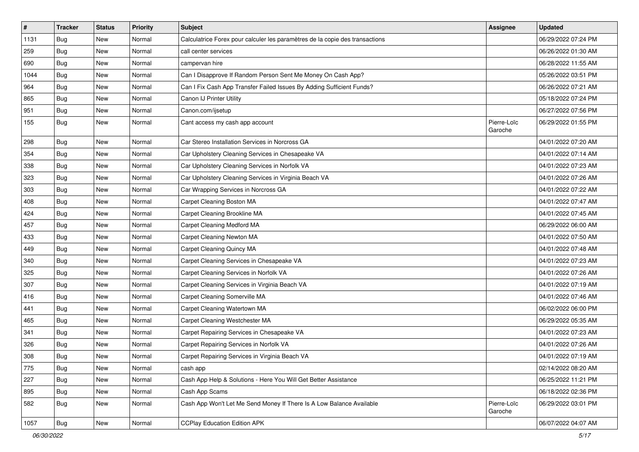| $\vert$ # | <b>Tracker</b> | <b>Status</b> | <b>Priority</b> | Subject                                                                      | <b>Assignee</b>        | <b>Updated</b>      |
|-----------|----------------|---------------|-----------------|------------------------------------------------------------------------------|------------------------|---------------------|
| 1131      | Bug            | New           | Normal          | Calculatrice Forex pour calculer les paramètres de la copie des transactions |                        | 06/29/2022 07:24 PM |
| 259       | Bug            | New           | Normal          | call center services                                                         |                        | 06/26/2022 01:30 AM |
| 690       | Bug            | <b>New</b>    | Normal          | campervan hire                                                               |                        | 06/28/2022 11:55 AM |
| 1044      | <b>Bug</b>     | New           | Normal          | Can I Disapprove If Random Person Sent Me Money On Cash App?                 |                        | 05/26/2022 03:51 PM |
| 964       | <b>Bug</b>     | New           | Normal          | Can I Fix Cash App Transfer Failed Issues By Adding Sufficient Funds?        |                        | 06/26/2022 07:21 AM |
| 865       | <b>Bug</b>     | New           | Normal          | Canon IJ Printer Utility                                                     |                        | 05/18/2022 07:24 PM |
| 951       | <b>Bug</b>     | New           | Normal          | Canon.com/ijsetup                                                            |                        | 06/27/2022 07:56 PM |
| 155       | Bug            | <b>New</b>    | Normal          | Cant access my cash app account                                              | Pierre-Loïc<br>Garoche | 06/29/2022 01:55 PM |
| 298       | Bug            | New           | Normal          | Car Stereo Installation Services in Norcross GA                              |                        | 04/01/2022 07:20 AM |
| 354       | Bug            | <b>New</b>    | Normal          | Car Upholstery Cleaning Services in Chesapeake VA                            |                        | 04/01/2022 07:14 AM |
| 338       | Bug            | <b>New</b>    | Normal          | Car Upholstery Cleaning Services in Norfolk VA                               |                        | 04/01/2022 07:23 AM |
| 323       | Bug            | <b>New</b>    | Normal          | Car Upholstery Cleaning Services in Virginia Beach VA                        |                        | 04/01/2022 07:26 AM |
| 303       | Bug            | New           | Normal          | Car Wrapping Services in Norcross GA                                         |                        | 04/01/2022 07:22 AM |
| 408       | <b>Bug</b>     | New           | Normal          | Carpet Cleaning Boston MA                                                    |                        | 04/01/2022 07:47 AM |
| 424       | Bug            | <b>New</b>    | Normal          | Carpet Cleaning Brookline MA                                                 |                        | 04/01/2022 07:45 AM |
| 457       | <b>Bug</b>     | New           | Normal          | Carpet Cleaning Medford MA                                                   |                        | 06/29/2022 06:00 AM |
| 433       | Bug            | New           | Normal          | Carpet Cleaning Newton MA                                                    |                        | 04/01/2022 07:50 AM |
| 449       | Bug            | New           | Normal          | Carpet Cleaning Quincy MA                                                    |                        | 04/01/2022 07:48 AM |
| 340       | <b>Bug</b>     | New           | Normal          | Carpet Cleaning Services in Chesapeake VA                                    |                        | 04/01/2022 07:23 AM |
| 325       | Bug            | <b>New</b>    | Normal          | Carpet Cleaning Services in Norfolk VA                                       |                        | 04/01/2022 07:26 AM |
| 307       | Bug            | New           | Normal          | Carpet Cleaning Services in Virginia Beach VA                                |                        | 04/01/2022 07:19 AM |
| 416       | <b>Bug</b>     | New           | Normal          | Carpet Cleaning Somerville MA                                                |                        | 04/01/2022 07:46 AM |
| 441       | Bug            | New           | Normal          | Carpet Cleaning Watertown MA                                                 |                        | 06/02/2022 06:00 PM |
| 465       | <b>Bug</b>     | New           | Normal          | Carpet Cleaning Westchester MA                                               |                        | 06/29/2022 05:35 AM |
| 341       | <b>Bug</b>     | <b>New</b>    | Normal          | Carpet Repairing Services in Chesapeake VA                                   |                        | 04/01/2022 07:23 AM |
| 326       | Bug            | New           | Normal          | Carpet Repairing Services in Norfolk VA                                      |                        | 04/01/2022 07:26 AM |
| 308       | Bug            | New           | Normal          | Carpet Repairing Services in Virginia Beach VA                               |                        | 04/01/2022 07:19 AM |
| 775       | Bug            | New           | Normal          | cash app                                                                     |                        | 02/14/2022 08:20 AM |
| 227       | Bug            | New           | Normal          | Cash App Help & Solutions - Here You Will Get Better Assistance              |                        | 06/25/2022 11:21 PM |
| 895       | Bug            | New           | Normal          | Cash App Scams                                                               |                        | 06/18/2022 02:36 PM |
| 582       | Bug            | New           | Normal          | Cash App Won't Let Me Send Money If There Is A Low Balance Available         | Pierre-Loïc<br>Garoche | 06/29/2022 03:01 PM |
| 1057      | Bug            | New           | Normal          | <b>CCPlay Education Edition APK</b>                                          |                        | 06/07/2022 04:07 AM |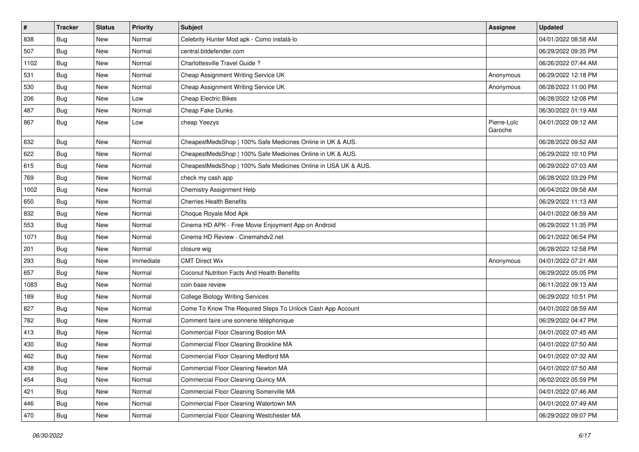| $\vert$ # | <b>Tracker</b> | <b>Status</b> | <b>Priority</b> | <b>Subject</b>                                                 | <b>Assignee</b>        | <b>Updated</b>      |
|-----------|----------------|---------------|-----------------|----------------------------------------------------------------|------------------------|---------------------|
| 838       | Bug            | New           | Normal          | Celebrity Hunter Mod apk - Como instalá-lo                     |                        | 04/01/2022 08:58 AM |
| 507       | Bug            | <b>New</b>    | Normal          | central.bitdefender.com                                        |                        | 06/29/2022 09:35 PM |
| 1102      | Bug            | New           | Normal          | Charlottesville Travel Guide?                                  |                        | 06/26/2022 07:44 AM |
| 531       | <b>Bug</b>     | <b>New</b>    | Normal          | Cheap Assignment Writing Service UK                            | Anonymous              | 06/29/2022 12:18 PM |
| 530       | Bug            | <b>New</b>    | Normal          | Cheap Assignment Writing Service UK                            | Anonymous              | 06/28/2022 11:00 PM |
| 206       | <b>Bug</b>     | New           | Low             | <b>Cheap Electric Bikes</b>                                    |                        | 06/28/2022 12:08 PM |
| 487       | <b>Bug</b>     | <b>New</b>    | Normal          | Cheap Fake Dunks                                               |                        | 06/30/2022 01:19 AM |
| 867       | Bug            | New           | Low             | cheap Yeezys                                                   | Pierre-Loïc<br>Garoche | 04/01/2022 09:12 AM |
| 632       | <b>Bug</b>     | <b>New</b>    | Normal          | CheapestMedsShop   100% Safe Medicines Online in UK & AUS.     |                        | 06/28/2022 09:52 AM |
| 622       | Bug            | New           | Normal          | CheapestMedsShop   100% Safe Medicines Online in UK & AUS.     |                        | 06/29/2022 10:10 PM |
| 615       | Bug            | New           | Normal          | CheapestMedsShop   100% Safe Medicines Online in USA UK & AUS. |                        | 06/29/2022 07:03 AM |
| 769       | Bug            | <b>New</b>    | Normal          | check my cash app                                              |                        | 06/28/2022 03:29 PM |
| 1002      | Bug            | <b>New</b>    | Normal          | Chemistry Assignment Help                                      |                        | 06/04/2022 09:58 AM |
| 650       | Bug            | New           | Normal          | <b>Cherries Health Benefits</b>                                |                        | 06/29/2022 11:13 AM |
| 832       | Bug            | New           | Normal          | Choque Royale Mod Apk                                          |                        | 04/01/2022 08:59 AM |
| 553       | Bug            | New           | Normal          | Cinema HD APK - Free Movie Enjoyment App on Android            |                        | 06/29/2022 11:35 PM |
| 1071      | Bug            | <b>New</b>    | Normal          | Cinema HD Review - Cinemahdy2.net                              |                        | 06/21/2022 06:54 PM |
| 201       | <b>Bug</b>     | New           | Normal          | closure wig                                                    |                        | 06/28/2022 12:58 PM |
| 293       | Bug            | <b>New</b>    | Immediate       | <b>CMT Direct Wix</b>                                          | Anonymous              | 04/01/2022 07:21 AM |
| 657       | Bug            | New           | Normal          | Coconut Nutrition Facts And Health Benefits                    |                        | 06/29/2022 05:05 PM |
| 1083      | Bug            | <b>New</b>    | Normal          | coin base review                                               |                        | 06/11/2022 09:13 AM |
| 189       | Bug            | <b>New</b>    | Normal          | <b>College Biology Writing Services</b>                        |                        | 06/29/2022 10:51 PM |
| 827       | <b>Bug</b>     | New           | Normal          | Come To Know The Required Steps To Unlock Cash App Account     |                        | 04/01/2022 08:59 AM |
| 782       | <b>Bug</b>     | <b>New</b>    | Normal          | Comment faire une sonnerie téléphonique                        |                        | 06/29/2022 04:47 PM |
| 413       | Bug            | <b>New</b>    | Normal          | Commercial Floor Cleaning Boston MA                            |                        | 04/01/2022 07:45 AM |
| 430       | <b>Bug</b>     | New           | Normal          | Commercial Floor Cleaning Brookline MA                         |                        | 04/01/2022 07:50 AM |
| 462       | <b>Bug</b>     | New           | Normal          | Commercial Floor Cleaning Medford MA                           |                        | 04/01/2022 07:32 AM |
| 438       | <b>Bug</b>     | New           | Normal          | Commercial Floor Cleaning Newton MA                            |                        | 04/01/2022 07:50 AM |
| 454       | Bug            | New           | Normal          | Commercial Floor Cleaning Quincy MA                            |                        | 06/02/2022 05:59 PM |
| 421       | Bug            | New           | Normal          | Commercial Floor Cleaning Somerville MA                        |                        | 04/01/2022 07:46 AM |
| 446       | Bug            | New           | Normal          | Commercial Floor Cleaning Watertown MA                         |                        | 04/01/2022 07:49 AM |
| 470       | <b>Bug</b>     | New           | Normal          | Commercial Floor Cleaning Westchester MA                       |                        | 06/29/2022 09:07 PM |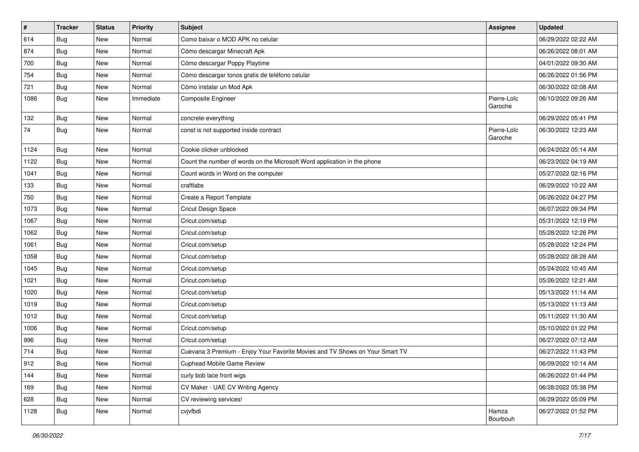| $\vert$ # | <b>Tracker</b> | <b>Status</b> | Priority  | <b>Subject</b>                                                               | <b>Assignee</b>        | <b>Updated</b>      |
|-----------|----------------|---------------|-----------|------------------------------------------------------------------------------|------------------------|---------------------|
| 614       | Bug            | <b>New</b>    | Normal    | Como baixar o MOD APK no celular                                             |                        | 06/29/2022 02:22 AM |
| 874       | Bug            | <b>New</b>    | Normal    | Cómo descargar Minecraft Apk                                                 |                        | 06/26/2022 08:01 AM |
| 700       | <b>Bug</b>     | New           | Normal    | Cómo descargar Poppy Playtime                                                |                        | 04/01/2022 09:30 AM |
| 754       | Bug            | <b>New</b>    | Normal    | Cómo descargar tonos gratis de teléfono celular                              |                        | 06/26/2022 01:56 PM |
| 721       | Bug            | <b>New</b>    | Normal    | Cómo instalar un Mod Apk                                                     |                        | 06/30/2022 02:08 AM |
| 1086      | Bug            | <b>New</b>    | Immediate | Composite Engineer                                                           | Pierre-Loïc<br>Garoche | 06/10/2022 09:26 AM |
| 132       | Bug            | <b>New</b>    | Normal    | concrete-everything                                                          |                        | 06/29/2022 05:41 PM |
| 74        | Bug            | New           | Normal    | const is not supported inside contract                                       | Pierre-Loïc<br>Garoche | 06/30/2022 12:23 AM |
| 1124      | Bug            | New           | Normal    | Cookie clicker unblocked                                                     |                        | 06/24/2022 05:14 AM |
| 1122      | Bug            | <b>New</b>    | Normal    | Count the number of words on the Microsoft Word application in the phone     |                        | 06/23/2022 04:19 AM |
| 1041      | <b>Bug</b>     | <b>New</b>    | Normal    | Count words in Word on the computer                                          |                        | 05/27/2022 02:16 PM |
| 133       | Bug            | <b>New</b>    | Normal    | craftlabs                                                                    |                        | 06/29/2022 10:22 AM |
| 750       | Bug            | <b>New</b>    | Normal    | Create a Report Template                                                     |                        | 06/26/2022 04:27 PM |
| 1073      | Bug            | <b>New</b>    | Normal    | Cricut Design Space                                                          |                        | 06/07/2022 09:34 PM |
| 1067      | Bug            | <b>New</b>    | Normal    | Cricut.com/setup                                                             |                        | 05/31/2022 12:19 PM |
| 1062      | Bug            | <b>New</b>    | Normal    | Cricut.com/setup                                                             |                        | 05/28/2022 12:26 PM |
| 1061      | Bug            | New           | Normal    | Cricut.com/setup                                                             |                        | 05/28/2022 12:24 PM |
| 1058      | Bug            | <b>New</b>    | Normal    | Cricut.com/setup                                                             |                        | 05/28/2022 08:28 AM |
| 1045      | <b>Bug</b>     | <b>New</b>    | Normal    | Cricut.com/setup                                                             |                        | 05/24/2022 10:45 AM |
| 1021      | Bug            | <b>New</b>    | Normal    | Cricut.com/setup                                                             |                        | 05/26/2022 12:21 AM |
| 1020      | Bug            | <b>New</b>    | Normal    | Cricut.com/setup                                                             |                        | 05/13/2022 11:14 AM |
| 1019      | Bug            | New           | Normal    | Cricut.com/setup                                                             |                        | 05/13/2022 11:13 AM |
| 1012      | Bug            | <b>New</b>    | Normal    | Cricut.com/setup                                                             |                        | 05/11/2022 11:30 AM |
| 1006      | Bug            | <b>New</b>    | Normal    | Cricut.com/setup                                                             |                        | 05/10/2022 01:22 PM |
| 996       | Bug            | <b>New</b>    | Normal    | Cricut.com/setup                                                             |                        | 06/27/2022 07:12 AM |
| 714       | <b>Bug</b>     | <b>New</b>    | Normal    | Cuevana 3 Premium - Enjoy Your Favorite Movies and TV Shows on Your Smart TV |                        | 06/27/2022 11:43 PM |
| 912       | Bug            | New           | Normal    | Cuphead Mobile Game Review                                                   |                        | 06/09/2022 10:14 AM |
| 144       | <b>Bug</b>     | New           | Normal    | curly bob lace front wigs                                                    |                        | 06/26/2022 01:44 PM |
| 169       | <b>Bug</b>     | New           | Normal    | CV Maker - UAE CV Writing Agency                                             |                        | 06/28/2022 05:38 PM |
| 628       | Bug            | New           | Normal    | CV reviewing services!                                                       |                        | 06/29/2022 05:09 PM |
| 1128      | <b>Bug</b>     | New           | Normal    | cvjvfbdi                                                                     | Hamza<br>Bourbouh      | 06/27/2022 01:52 PM |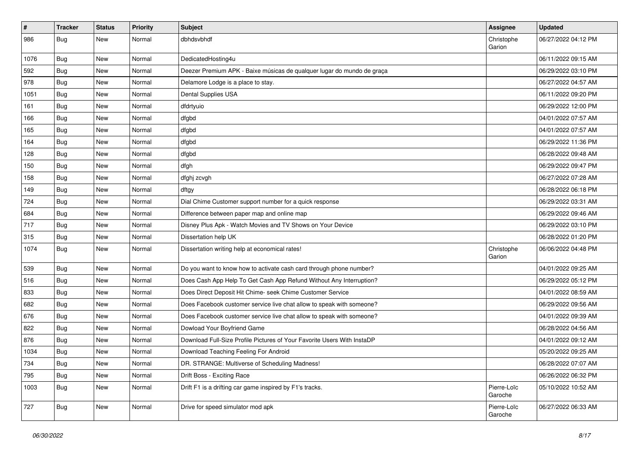| #    | Tracker    | <b>Status</b> | <b>Priority</b> | <b>Subject</b>                                                          | <b>Assignee</b>        | <b>Updated</b>      |
|------|------------|---------------|-----------------|-------------------------------------------------------------------------|------------------------|---------------------|
| 986  | <b>Bug</b> | New           | Normal          | dbhdsvbhdf                                                              | Christophe<br>Garion   | 06/27/2022 04:12 PM |
| 1076 | Bug        | New           | Normal          | DedicatedHosting4u                                                      |                        | 06/11/2022 09:15 AM |
| 592  | Bug        | New           | Normal          | Deezer Premium APK - Baixe músicas de qualquer lugar do mundo de graça  |                        | 06/29/2022 03:10 PM |
| 978  | Bug        | New           | Normal          | Delamore Lodge is a place to stay.                                      |                        | 06/27/2022 04:57 AM |
| 1051 | Bug        | New           | Normal          | Dental Supplies USA                                                     |                        | 06/11/2022 09:20 PM |
| 161  | Bug        | New           | Normal          | dfdrtyuio                                                               |                        | 06/29/2022 12:00 PM |
| 166  | Bug        | New           | Normal          | dfgbd                                                                   |                        | 04/01/2022 07:57 AM |
| 165  | <b>Bug</b> | New           | Normal          | dfgbd                                                                   |                        | 04/01/2022 07:57 AM |
| 164  | Bug        | <b>New</b>    | Normal          | dfgbd                                                                   |                        | 06/29/2022 11:36 PM |
| 128  | <b>Bug</b> | New           | Normal          | dfgbd                                                                   |                        | 06/28/2022 09:48 AM |
| 150  | Bug        | New           | Normal          | dfgh                                                                    |                        | 06/29/2022 09:47 PM |
| 158  | Bug        | New           | Normal          | dfghj zcvgh                                                             |                        | 06/27/2022 07:28 AM |
| 149  | <b>Bug</b> | New           | Normal          | dftgy                                                                   |                        | 06/28/2022 06:18 PM |
| 724  | Bug        | <b>New</b>    | Normal          | Dial Chime Customer support number for a quick response                 |                        | 06/29/2022 03:31 AM |
| 684  | Bug        | New           | Normal          | Difference between paper map and online map                             |                        | 06/29/2022 09:46 AM |
| 717  | Bug        | New           | Normal          | Disney Plus Apk - Watch Movies and TV Shows on Your Device              |                        | 06/29/2022 03:10 PM |
| 315  | Bug        | New           | Normal          | Dissertation help UK                                                    |                        | 06/28/2022 01:20 PM |
| 1074 | Bug        | New           | Normal          | Dissertation writing help at economical rates!                          | Christophe<br>Garion   | 06/06/2022 04:48 PM |
| 539  | Bug        | New           | Normal          | Do you want to know how to activate cash card through phone number?     |                        | 04/01/2022 09:25 AM |
| 516  | Bug        | New           | Normal          | Does Cash App Help To Get Cash App Refund Without Any Interruption?     |                        | 06/29/2022 05:12 PM |
| 833  | Bug        | <b>New</b>    | Normal          | Does Direct Deposit Hit Chime- seek Chime Customer Service              |                        | 04/01/2022 08:59 AM |
| 682  | <b>Bug</b> | New           | Normal          | Does Facebook customer service live chat allow to speak with someone?   |                        | 06/29/2022 09:56 AM |
| 676  | Bug        | New           | Normal          | Does Facebook customer service live chat allow to speak with someone?   |                        | 04/01/2022 09:39 AM |
| 822  | Bug        | New           | Normal          | Dowload Your Boyfriend Game                                             |                        | 06/28/2022 04:56 AM |
| 876  | <b>Bug</b> | New           | Normal          | Download Full-Size Profile Pictures of Your Favorite Users With InstaDP |                        | 04/01/2022 09:12 AM |
| 1034 | Bug        | New           | Normal          | Download Teaching Feeling For Android                                   |                        | 05/20/2022 09:25 AM |
| 734  | <b>Bug</b> | New           | Normal          | DR. STRANGE: Multiverse of Scheduling Madness!                          |                        | 06/28/2022 07:07 AM |
| 795  | Bug        | New           | Normal          | Drift Boss - Exciting Race                                              |                        | 06/26/2022 06:32 PM |
| 1003 | Bug        | New           | Normal          | Drift F1 is a drifting car game inspired by F1's tracks.                | Pierre-Loïc<br>Garoche | 05/10/2022 10:52 AM |
| 727  | <b>Bug</b> | New           | Normal          | Drive for speed simulator mod apk                                       | Pierre-Loïc<br>Garoche | 06/27/2022 06:33 AM |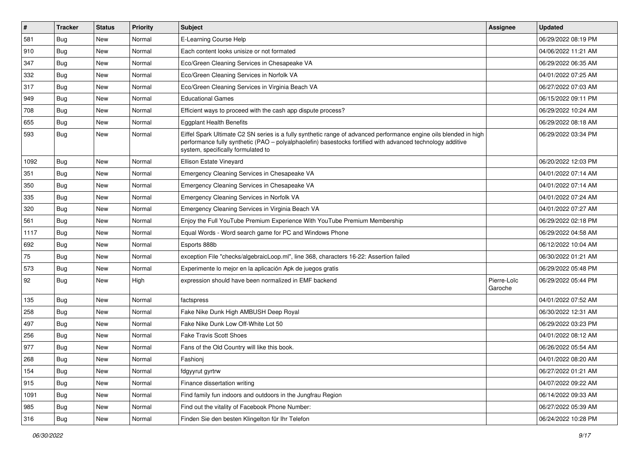| $\vert$ # | <b>Tracker</b> | <b>Status</b> | <b>Priority</b> | <b>Subject</b>                                                                                                                                                                                                                                                        | <b>Assignee</b>        | <b>Updated</b>      |
|-----------|----------------|---------------|-----------------|-----------------------------------------------------------------------------------------------------------------------------------------------------------------------------------------------------------------------------------------------------------------------|------------------------|---------------------|
| 581       | <b>Bug</b>     | New           | Normal          | E-Learning Course Help                                                                                                                                                                                                                                                |                        | 06/29/2022 08:19 PM |
| 910       | Bug            | <b>New</b>    | Normal          | Each content looks unisize or not formated                                                                                                                                                                                                                            |                        | 04/06/2022 11:21 AM |
| 347       | <b>Bug</b>     | New           | Normal          | Eco/Green Cleaning Services in Chesapeake VA                                                                                                                                                                                                                          |                        | 06/29/2022 06:35 AM |
| 332       | Bug            | <b>New</b>    | Normal          | Eco/Green Cleaning Services in Norfolk VA                                                                                                                                                                                                                             |                        | 04/01/2022 07:25 AM |
| 317       | Bug            | <b>New</b>    | Normal          | Eco/Green Cleaning Services in Virginia Beach VA                                                                                                                                                                                                                      |                        | 06/27/2022 07:03 AM |
| 949       | <b>Bug</b>     | <b>New</b>    | Normal          | <b>Educational Games</b>                                                                                                                                                                                                                                              |                        | 06/15/2022 09:11 PM |
| 708       | Bug            | <b>New</b>    | Normal          | Efficient ways to proceed with the cash app dispute process?                                                                                                                                                                                                          |                        | 06/29/2022 10:24 AM |
| 655       | Bug            | <b>New</b>    | Normal          | <b>Eggplant Health Benefits</b>                                                                                                                                                                                                                                       |                        | 06/29/2022 08:18 AM |
| 593       | Bug            | New           | Normal          | Eiffel Spark Ultimate C2 SN series is a fully synthetic range of advanced performance engine oils blended in high<br>performance fully synthetic (PAO - polyalphaolefin) basestocks fortified with advanced technology additive<br>system, specifically formulated to |                        | 06/29/2022 03:34 PM |
| 1092      | Bug            | <b>New</b>    | Normal          | Ellison Estate Vineyard                                                                                                                                                                                                                                               |                        | 06/20/2022 12:03 PM |
| 351       | Bug            | <b>New</b>    | Normal          | Emergency Cleaning Services in Chesapeake VA                                                                                                                                                                                                                          |                        | 04/01/2022 07:14 AM |
| 350       | Bug            | <b>New</b>    | Normal          | Emergency Cleaning Services in Chesapeake VA                                                                                                                                                                                                                          |                        | 04/01/2022 07:14 AM |
| 335       | Bug            | <b>New</b>    | Normal          | Emergency Cleaning Services in Norfolk VA                                                                                                                                                                                                                             |                        | 04/01/2022 07:24 AM |
| 320       | Bug            | <b>New</b>    | Normal          | Emergency Cleaning Services in Virginia Beach VA                                                                                                                                                                                                                      |                        | 04/01/2022 07:27 AM |
| 561       | Bug            | <b>New</b>    | Normal          | Enjoy the Full YouTube Premium Experience With YouTube Premium Membership                                                                                                                                                                                             |                        | 06/29/2022 02:18 PM |
| 1117      | Bug            | <b>New</b>    | Normal          | Equal Words - Word search game for PC and Windows Phone                                                                                                                                                                                                               |                        | 06/29/2022 04:58 AM |
| 692       | <b>Bug</b>     | <b>New</b>    | Normal          | Esports 888b                                                                                                                                                                                                                                                          |                        | 06/12/2022 10:04 AM |
| 75        | Bug            | <b>New</b>    | Normal          | exception File "checks/algebraicLoop.ml", line 368, characters 16-22: Assertion failed                                                                                                                                                                                |                        | 06/30/2022 01:21 AM |
| 573       | Bug            | <b>New</b>    | Normal          | Experimente lo mejor en la aplicación Apk de juegos gratis                                                                                                                                                                                                            |                        | 06/29/2022 05:48 PM |
| 92        | Bug            | <b>New</b>    | High            | expression should have been normalized in EMF backend                                                                                                                                                                                                                 | Pierre-Loïc<br>Garoche | 06/29/2022 05:44 PM |
| 135       | Bug            | New           | Normal          | factspress                                                                                                                                                                                                                                                            |                        | 04/01/2022 07:52 AM |
| 258       | Bug            | <b>New</b>    | Normal          | Fake Nike Dunk High AMBUSH Deep Royal                                                                                                                                                                                                                                 |                        | 06/30/2022 12:31 AM |
| 497       | Bug            | <b>New</b>    | Normal          | Fake Nike Dunk Low Off-White Lot 50                                                                                                                                                                                                                                   |                        | 06/29/2022 03:23 PM |
| 256       | Bug            | <b>New</b>    | Normal          | <b>Fake Travis Scott Shoes</b>                                                                                                                                                                                                                                        |                        | 04/01/2022 08:12 AM |
| 977       | <b>Bug</b>     | <b>New</b>    | Normal          | Fans of the Old Country will like this book.                                                                                                                                                                                                                          |                        | 06/26/2022 05:54 AM |
| 268       | Bug            | New           | Normal          | Fashionj                                                                                                                                                                                                                                                              |                        | 04/01/2022 08:20 AM |
| 154       | Bug            | New           | Normal          | fdgyyrut gyrtrw                                                                                                                                                                                                                                                       |                        | 06/27/2022 01:21 AM |
| 915       | Bug            | New           | Normal          | Finance dissertation writing                                                                                                                                                                                                                                          |                        | 04/07/2022 09:22 AM |
| 1091      | <b>Bug</b>     | New           | Normal          | Find family fun indoors and outdoors in the Jungfrau Region                                                                                                                                                                                                           |                        | 06/14/2022 09:33 AM |
| 985       | <b>Bug</b>     | New           | Normal          | Find out the vitality of Facebook Phone Number:                                                                                                                                                                                                                       |                        | 06/27/2022 05:39 AM |
| 316       | <b>Bug</b>     | New           | Normal          | Finden Sie den besten Klingelton für Ihr Telefon                                                                                                                                                                                                                      |                        | 06/24/2022 10:28 PM |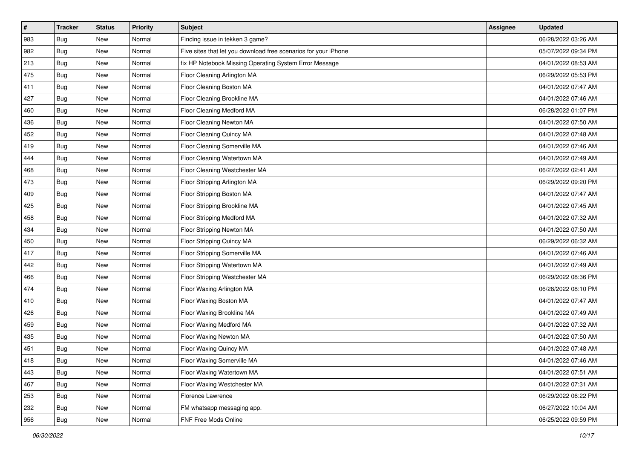| $\sharp$ | <b>Tracker</b> | <b>Status</b> | <b>Priority</b> | <b>Subject</b>                                                  | <b>Assignee</b> | <b>Updated</b>      |
|----------|----------------|---------------|-----------------|-----------------------------------------------------------------|-----------------|---------------------|
| 983      | <b>Bug</b>     | New           | Normal          | Finding issue in tekken 3 game?                                 |                 | 06/28/2022 03:26 AM |
| 982      | Bug            | New           | Normal          | Five sites that let you download free scenarios for your iPhone |                 | 05/07/2022 09:34 PM |
| 213      | <b>Bug</b>     | New           | Normal          | fix HP Notebook Missing Operating System Error Message          |                 | 04/01/2022 08:53 AM |
| 475      | Bug            | <b>New</b>    | Normal          | Floor Cleaning Arlington MA                                     |                 | 06/29/2022 05:53 PM |
| 411      | Bug            | <b>New</b>    | Normal          | Floor Cleaning Boston MA                                        |                 | 04/01/2022 07:47 AM |
| 427      | <b>Bug</b>     | New           | Normal          | Floor Cleaning Brookline MA                                     |                 | 04/01/2022 07:46 AM |
| 460      | Bug            | New           | Normal          | Floor Cleaning Medford MA                                       |                 | 06/28/2022 01:07 PM |
| 436      | Bug            | New           | Normal          | Floor Cleaning Newton MA                                        |                 | 04/01/2022 07:50 AM |
| 452      | <b>Bug</b>     | New           | Normal          | Floor Cleaning Quincy MA                                        |                 | 04/01/2022 07:48 AM |
| 419      | Bug            | <b>New</b>    | Normal          | Floor Cleaning Somerville MA                                    |                 | 04/01/2022 07:46 AM |
| 444      | <b>Bug</b>     | New           | Normal          | Floor Cleaning Watertown MA                                     |                 | 04/01/2022 07:49 AM |
| 468      | Bug            | New           | Normal          | Floor Cleaning Westchester MA                                   |                 | 06/27/2022 02:41 AM |
| 473      | Bug            | <b>New</b>    | Normal          | Floor Stripping Arlington MA                                    |                 | 06/29/2022 09:20 PM |
| 409      | Bug            | New           | Normal          | Floor Stripping Boston MA                                       |                 | 04/01/2022 07:47 AM |
| 425      | Bug            | <b>New</b>    | Normal          | Floor Stripping Brookline MA                                    |                 | 04/01/2022 07:45 AM |
| 458      | Bug            | New           | Normal          | Floor Stripping Medford MA                                      |                 | 04/01/2022 07:32 AM |
| 434      | Bug            | <b>New</b>    | Normal          | Floor Stripping Newton MA                                       |                 | 04/01/2022 07:50 AM |
| 450      | Bug            | <b>New</b>    | Normal          | Floor Stripping Quincy MA                                       |                 | 06/29/2022 06:32 AM |
| 417      | Bug            | New           | Normal          | Floor Stripping Somerville MA                                   |                 | 04/01/2022 07:46 AM |
| 442      | Bug            | New           | Normal          | Floor Stripping Watertown MA                                    |                 | 04/01/2022 07:49 AM |
| 466      | Bug            | New           | Normal          | Floor Stripping Westchester MA                                  |                 | 06/29/2022 08:36 PM |
| 474      | Bug            | <b>New</b>    | Normal          | Floor Waxing Arlington MA                                       |                 | 06/28/2022 08:10 PM |
| 410      | Bug            | <b>New</b>    | Normal          | Floor Waxing Boston MA                                          |                 | 04/01/2022 07:47 AM |
| 426      | Bug            | New           | Normal          | Floor Waxing Brookline MA                                       |                 | 04/01/2022 07:49 AM |
| 459      | Bug            | New           | Normal          | Floor Waxing Medford MA                                         |                 | 04/01/2022 07:32 AM |
| 435      | <b>Bug</b>     | <b>New</b>    | Normal          | Floor Waxing Newton MA                                          |                 | 04/01/2022 07:50 AM |
| 451      | Bug            | New           | Normal          | Floor Waxing Quincy MA                                          |                 | 04/01/2022 07:48 AM |
| 418      | <b>Bug</b>     | New           | Normal          | Floor Waxing Somerville MA                                      |                 | 04/01/2022 07:46 AM |
| 443      | Bug            | New           | Normal          | Floor Waxing Watertown MA                                       |                 | 04/01/2022 07:51 AM |
| 467      | Bug            | New           | Normal          | Floor Waxing Westchester MA                                     |                 | 04/01/2022 07:31 AM |
| 253      | Bug            | New           | Normal          | Florence Lawrence                                               |                 | 06/29/2022 06:22 PM |
| 232      | Bug            | New           | Normal          | FM whatsapp messaging app.                                      |                 | 06/27/2022 10:04 AM |
| 956      | <b>Bug</b>     | New           | Normal          | FNF Free Mods Online                                            |                 | 06/25/2022 09:59 PM |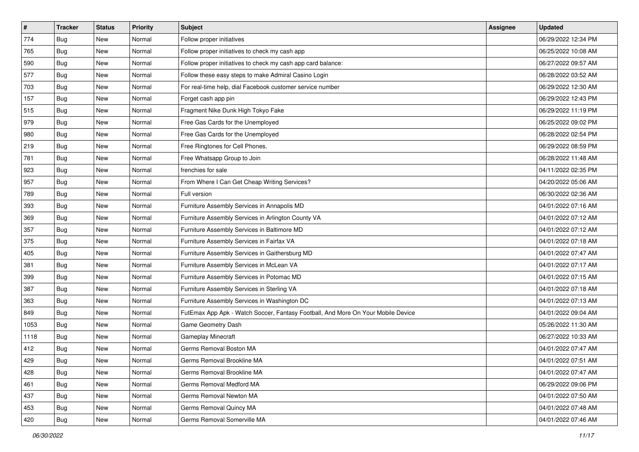| $\sharp$ | <b>Tracker</b> | <b>Status</b> | <b>Priority</b> | Subject                                                                          | <b>Assignee</b> | <b>Updated</b>      |
|----------|----------------|---------------|-----------------|----------------------------------------------------------------------------------|-----------------|---------------------|
| 774      | Bug            | New           | Normal          | Follow proper initiatives                                                        |                 | 06/29/2022 12:34 PM |
| 765      | Bug            | New           | Normal          | Follow proper initiatives to check my cash app                                   |                 | 06/25/2022 10:08 AM |
| 590      | <b>Bug</b>     | New           | Normal          | Follow proper initiatives to check my cash app card balance:                     |                 | 06/27/2022 09:57 AM |
| 577      | Bug            | <b>New</b>    | Normal          | Follow these easy steps to make Admiral Casino Login                             |                 | 06/28/2022 03:52 AM |
| 703      | Bug            | <b>New</b>    | Normal          | For real-time help, dial Facebook customer service number                        |                 | 06/29/2022 12:30 AM |
| 157      | <b>Bug</b>     | New           | Normal          | Forget cash app pin                                                              |                 | 06/29/2022 12:43 PM |
| 515      | Bug            | New           | Normal          | Fragment Nike Dunk High Tokyo Fake                                               |                 | 06/29/2022 11:19 PM |
| 979      | Bug            | New           | Normal          | Free Gas Cards for the Unemployed                                                |                 | 06/25/2022 09:02 PM |
| 980      | <b>Bug</b>     | New           | Normal          | Free Gas Cards for the Unemployed                                                |                 | 06/28/2022 02:54 PM |
| 219      | Bug            | <b>New</b>    | Normal          | Free Ringtones for Cell Phones.                                                  |                 | 06/29/2022 08:59 PM |
| 781      | Bug            | New           | Normal          | Free Whatsapp Group to Join                                                      |                 | 06/28/2022 11:48 AM |
| 923      | <b>Bug</b>     | New           | Normal          | frenchies for sale                                                               |                 | 04/11/2022 02:35 PM |
| 957      | Bug            | <b>New</b>    | Normal          | From Where I Can Get Cheap Writing Services?                                     |                 | 04/20/2022 05:06 AM |
| 789      | Bug            | New           | Normal          | Full version                                                                     |                 | 06/30/2022 02:36 AM |
| 393      | Bug            | <b>New</b>    | Normal          | Furniture Assembly Services in Annapolis MD                                      |                 | 04/01/2022 07:16 AM |
| 369      | <b>Bug</b>     | New           | Normal          | Furniture Assembly Services in Arlington County VA                               |                 | 04/01/2022 07:12 AM |
| 357      | Bug            | <b>New</b>    | Normal          | Furniture Assembly Services in Baltimore MD                                      |                 | 04/01/2022 07:12 AM |
| 375      | Bug            | <b>New</b>    | Normal          | Furniture Assembly Services in Fairfax VA                                        |                 | 04/01/2022 07:18 AM |
| 405      | <b>Bug</b>     | New           | Normal          | Furniture Assembly Services in Gaithersburg MD                                   |                 | 04/01/2022 07:47 AM |
| 381      | Bug            | <b>New</b>    | Normal          | Furniture Assembly Services in McLean VA                                         |                 | 04/01/2022 07:17 AM |
| 399      | Bug            | New           | Normal          | Furniture Assembly Services in Potomac MD                                        |                 | 04/01/2022 07:15 AM |
| 387      | <b>Bug</b>     | <b>New</b>    | Normal          | Furniture Assembly Services in Sterling VA                                       |                 | 04/01/2022 07:18 AM |
| 363      | Bug            | <b>New</b>    | Normal          | Furniture Assembly Services in Washington DC                                     |                 | 04/01/2022 07:13 AM |
| 849      | Bug            | New           | Normal          | FutEmax App Apk - Watch Soccer, Fantasy Football, And More On Your Mobile Device |                 | 04/01/2022 09:04 AM |
| 1053     | Bug            | New           | Normal          | Game Geometry Dash                                                               |                 | 05/26/2022 11:30 AM |
| 1118     | <b>Bug</b>     | <b>New</b>    | Normal          | Gameplay Minecraft                                                               |                 | 06/27/2022 10:33 AM |
| 412      | Bug            | New           | Normal          | Germs Removal Boston MA                                                          |                 | 04/01/2022 07:47 AM |
| 429      | <b>Bug</b>     | New           | Normal          | Germs Removal Brookline MA                                                       |                 | 04/01/2022 07:51 AM |
| 428      | Bug            | New           | Normal          | Germs Removal Brookline MA                                                       |                 | 04/01/2022 07:47 AM |
| 461      | Bug            | New           | Normal          | Germs Removal Medford MA                                                         |                 | 06/29/2022 09:06 PM |
| 437      | Bug            | New           | Normal          | Germs Removal Newton MA                                                          |                 | 04/01/2022 07:50 AM |
| 453      | Bug            | New           | Normal          | Germs Removal Quincy MA                                                          |                 | 04/01/2022 07:48 AM |
| 420      | <b>Bug</b>     | New           | Normal          | Germs Removal Somerville MA                                                      |                 | 04/01/2022 07:46 AM |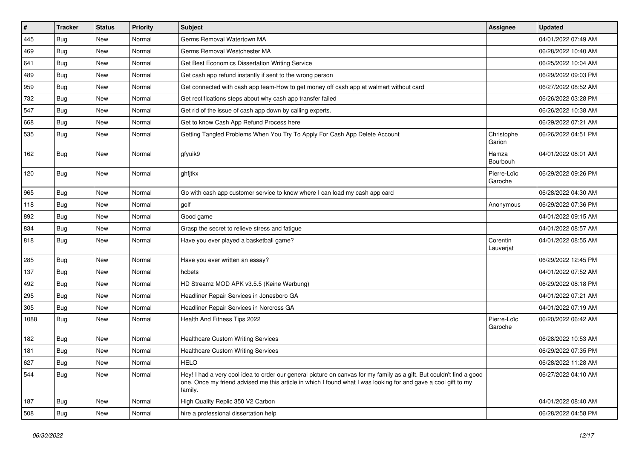| $\vert$ # | <b>Tracker</b> | <b>Status</b> | <b>Priority</b> | Subject                                                                                                                                                                                                                                           | <b>Assignee</b>        | <b>Updated</b>      |
|-----------|----------------|---------------|-----------------|---------------------------------------------------------------------------------------------------------------------------------------------------------------------------------------------------------------------------------------------------|------------------------|---------------------|
| 445       | <b>Bug</b>     | New           | Normal          | Germs Removal Watertown MA                                                                                                                                                                                                                        |                        | 04/01/2022 07:49 AM |
| 469       | Bug            | <b>New</b>    | Normal          | Germs Removal Westchester MA                                                                                                                                                                                                                      |                        | 06/28/2022 10:40 AM |
| 641       | Bug            | New           | Normal          | Get Best Economics Dissertation Writing Service                                                                                                                                                                                                   |                        | 06/25/2022 10:04 AM |
| 489       | Bug            | New           | Normal          | Get cash app refund instantly if sent to the wrong person                                                                                                                                                                                         |                        | 06/29/2022 09:03 PM |
| 959       | Bug            | <b>New</b>    | Normal          | Get connected with cash app team-How to get money off cash app at walmart without card                                                                                                                                                            |                        | 06/27/2022 08:52 AM |
| 732       | <b>Bug</b>     | New           | Normal          | Get rectifications steps about why cash app transfer failed                                                                                                                                                                                       |                        | 06/26/2022 03:28 PM |
| 547       | Bug            | New           | Normal          | Get rid of the issue of cash app down by calling experts.                                                                                                                                                                                         |                        | 06/26/2022 10:38 AM |
| 668       | Bug            | New           | Normal          | Get to know Cash App Refund Process here                                                                                                                                                                                                          |                        | 06/29/2022 07:21 AM |
| 535       | Bug            | New           | Normal          | Getting Tangled Problems When You Try To Apply For Cash App Delete Account                                                                                                                                                                        | Christophe<br>Garion   | 06/26/2022 04:51 PM |
| 162       | Bug            | <b>New</b>    | Normal          | gfyuik9                                                                                                                                                                                                                                           | Hamza<br>Bourbouh      | 04/01/2022 08:01 AM |
| 120       | Bug            | New           | Normal          | ghfjtkx                                                                                                                                                                                                                                           | Pierre-Loïc<br>Garoche | 06/29/2022 09:26 PM |
| 965       | Bug            | <b>New</b>    | Normal          | Go with cash app customer service to know where I can load my cash app card                                                                                                                                                                       |                        | 06/28/2022 04:30 AM |
| 118       | Bug            | <b>New</b>    | Normal          | golf                                                                                                                                                                                                                                              | Anonymous              | 06/29/2022 07:36 PM |
| 892       | Bug            | New           | Normal          | Good game                                                                                                                                                                                                                                         |                        | 04/01/2022 09:15 AM |
| 834       | Bug            | <b>New</b>    | Normal          | Grasp the secret to relieve stress and fatigue                                                                                                                                                                                                    |                        | 04/01/2022 08:57 AM |
| 818       | Bug            | New           | Normal          | Have you ever played a basketball game?                                                                                                                                                                                                           | Corentin<br>Lauverjat  | 04/01/2022 08:55 AM |
| 285       | Bug            | <b>New</b>    | Normal          | Have you ever written an essay?                                                                                                                                                                                                                   |                        | 06/29/2022 12:45 PM |
| 137       | <b>Bug</b>     | New           | Normal          | hcbets                                                                                                                                                                                                                                            |                        | 04/01/2022 07:52 AM |
| 492       | Bug            | <b>New</b>    | Normal          | HD Streamz MOD APK v3.5.5 (Keine Werbung)                                                                                                                                                                                                         |                        | 06/29/2022 08:18 PM |
| 295       | Bug            | New           | Normal          | Headliner Repair Services in Jonesboro GA                                                                                                                                                                                                         |                        | 04/01/2022 07:21 AM |
| 305       | Bug            | New           | Normal          | Headliner Repair Services in Norcross GA                                                                                                                                                                                                          |                        | 04/01/2022 07:19 AM |
| 1088      | Bug            | <b>New</b>    | Normal          | Health And Fitness Tips 2022                                                                                                                                                                                                                      | Pierre-Loïc<br>Garoche | 06/20/2022 06:42 AM |
| 182       | Bug            | <b>New</b>    | Normal          | <b>Healthcare Custom Writing Services</b>                                                                                                                                                                                                         |                        | 06/28/2022 10:53 AM |
| 181       | Bug            | <b>New</b>    | Normal          | <b>Healthcare Custom Writing Services</b>                                                                                                                                                                                                         |                        | 06/29/2022 07:35 PM |
| 627       | Bug            | New           | Normal          | <b>HELO</b>                                                                                                                                                                                                                                       |                        | 06/28/2022 11:28 AM |
| 544       | Bug            | New           | Normal          | Hey! I had a very cool idea to order our general picture on canvas for my family as a gift. But couldn't find a good<br>one. Once my friend advised me this article in which I found what I was looking for and gave a cool gift to my<br>family. |                        | 06/27/2022 04:10 AM |
| 187       | <b>Bug</b>     | New           | Normal          | High Quality Replic 350 V2 Carbon                                                                                                                                                                                                                 |                        | 04/01/2022 08:40 AM |
| 508       | <b>Bug</b>     | New           | Normal          | hire a professional dissertation help                                                                                                                                                                                                             |                        | 06/28/2022 04:58 PM |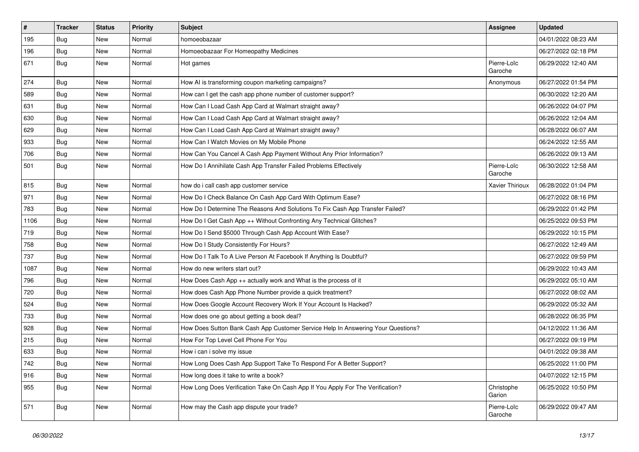| $\pmb{\#}$ | <b>Tracker</b> | <b>Status</b> | <b>Priority</b> | <b>Subject</b>                                                                   | <b>Assignee</b>        | <b>Updated</b>      |
|------------|----------------|---------------|-----------------|----------------------------------------------------------------------------------|------------------------|---------------------|
| 195        | Bug            | New           | Normal          | homoeobazaar                                                                     |                        | 04/01/2022 08:23 AM |
| 196        | Bug            | New           | Normal          | Homoeobazaar For Homeopathy Medicines                                            |                        | 06/27/2022 02:18 PM |
| 671        | Bug            | <b>New</b>    | Normal          | Hot games                                                                        | Pierre-Loïc<br>Garoche | 06/29/2022 12:40 AM |
| 274        | Bug            | New           | Normal          | How AI is transforming coupon marketing campaigns?                               | Anonymous              | 06/27/2022 01:54 PM |
| 589        | <b>Bug</b>     | New           | Normal          | How can I get the cash app phone number of customer support?                     |                        | 06/30/2022 12:20 AM |
| 631        | Bug            | <b>New</b>    | Normal          | How Can I Load Cash App Card at Walmart straight away?                           |                        | 06/26/2022 04:07 PM |
| 630        | Bug            | New           | Normal          | How Can I Load Cash App Card at Walmart straight away?                           |                        | 06/26/2022 12:04 AM |
| 629        | <b>Bug</b>     | New           | Normal          | How Can I Load Cash App Card at Walmart straight away?                           |                        | 06/28/2022 06:07 AM |
| 933        | Bug            | <b>New</b>    | Normal          | How Can I Watch Movies on My Mobile Phone                                        |                        | 06/24/2022 12:55 AM |
| 706        | <b>Bug</b>     | New           | Normal          | How Can You Cancel A Cash App Payment Without Any Prior Information?             |                        | 06/26/2022 09:13 AM |
| 501        | Bug            | New           | Normal          | How Do I Annihilate Cash App Transfer Failed Problems Effectively                | Pierre-Loïc<br>Garoche | 06/30/2022 12:58 AM |
| 815        | Bug            | New           | Normal          | how do i call cash app customer service                                          | Xavier Thirioux        | 06/28/2022 01:04 PM |
| 971        | <b>Bug</b>     | <b>New</b>    | Normal          | How Do I Check Balance On Cash App Card With Optimum Ease?                       |                        | 06/27/2022 08:16 PM |
| 783        | Bug            | New           | Normal          | How Do I Determine The Reasons And Solutions To Fix Cash App Transfer Failed?    |                        | 06/29/2022 01:42 PM |
| 1106       | Bug            | New           | Normal          | How Do I Get Cash App ++ Without Confronting Any Technical Glitches?             |                        | 06/25/2022 09:53 PM |
| 719        | Bug            | New           | Normal          | How Do I Send \$5000 Through Cash App Account With Ease?                         |                        | 06/29/2022 10:15 PM |
| 758        | Bug            | New           | Normal          | How Do I Study Consistently For Hours?                                           |                        | 06/27/2022 12:49 AM |
| 737        | <b>Bug</b>     | New           | Normal          | How Do I Talk To A Live Person At Facebook If Anything Is Doubtful?              |                        | 06/27/2022 09:59 PM |
| 1087       | <b>Bug</b>     | New           | Normal          | How do new writers start out?                                                    |                        | 06/29/2022 10:43 AM |
| 796        | <b>Bug</b>     | <b>New</b>    | Normal          | How Does Cash App ++ actually work and What is the process of it                 |                        | 06/29/2022 05:10 AM |
| 720        | Bug            | New           | Normal          | How does Cash App Phone Number provide a quick treatment?                        |                        | 06/27/2022 08:02 AM |
| 524        | <b>Bug</b>     | New           | Normal          | How Does Google Account Recovery Work If Your Account Is Hacked?                 |                        | 06/29/2022 05:32 AM |
| 733        | Bug            | New           | Normal          | How does one go about getting a book deal?                                       |                        | 06/28/2022 06:35 PM |
| 928        | Bug            | New           | Normal          | How Does Sutton Bank Cash App Customer Service Help In Answering Your Questions? |                        | 04/12/2022 11:36 AM |
| 215        | <b>Bug</b>     | New           | Normal          | How For Top Level Cell Phone For You                                             |                        | 06/27/2022 09:19 PM |
| 633        | <b>Bug</b>     | New           | Normal          | How i can i solve my issue                                                       |                        | 04/01/2022 09:38 AM |
| 742        | Bug            | New           | Normal          | How Long Does Cash App Support Take To Respond For A Better Support?             |                        | 06/25/2022 11:00 PM |
| 916        | Bug            | New           | Normal          | How long does it take to write a book?                                           |                        | 04/07/2022 12:15 PM |
| 955        | Bug            | New           | Normal          | How Long Does Verification Take On Cash App If You Apply For The Verification?   | Christophe<br>Garion   | 06/25/2022 10:50 PM |
| 571        | <b>Bug</b>     | New           | Normal          | How may the Cash app dispute your trade?                                         | Pierre-Loïc<br>Garoche | 06/29/2022 09:47 AM |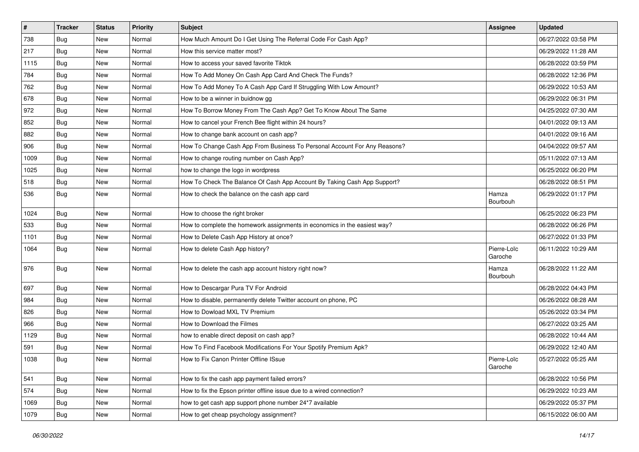| $\vert$ # | <b>Tracker</b> | <b>Status</b> | <b>Priority</b> | <b>Subject</b>                                                            | Assignee               | <b>Updated</b>      |
|-----------|----------------|---------------|-----------------|---------------------------------------------------------------------------|------------------------|---------------------|
| 738       | <b>Bug</b>     | New           | Normal          | How Much Amount Do I Get Using The Referral Code For Cash App?            |                        | 06/27/2022 03:58 PM |
| 217       | Bug            | New           | Normal          | How this service matter most?                                             |                        | 06/29/2022 11:28 AM |
| 1115      | <b>Bug</b>     | New           | Normal          | How to access your saved favorite Tiktok                                  |                        | 06/28/2022 03:59 PM |
| 784       | <b>Bug</b>     | New           | Normal          | How To Add Money On Cash App Card And Check The Funds?                    |                        | 06/28/2022 12:36 PM |
| 762       | <b>Bug</b>     | <b>New</b>    | Normal          | How To Add Money To A Cash App Card If Struggling With Low Amount?        |                        | 06/29/2022 10:53 AM |
| 678       | <b>Bug</b>     | New           | Normal          | How to be a winner in buidnow gg                                          |                        | 06/29/2022 06:31 PM |
| 972       | Bug            | New           | Normal          | How To Borrow Money From The Cash App? Get To Know About The Same         |                        | 04/25/2022 07:30 AM |
| 852       | <b>Bug</b>     | New           | Normal          | How to cancel your French Bee flight within 24 hours?                     |                        | 04/01/2022 09:13 AM |
| 882       | <b>Bug</b>     | New           | Normal          | How to change bank account on cash app?                                   |                        | 04/01/2022 09:16 AM |
| 906       | Bug            | New           | Normal          | How To Change Cash App From Business To Personal Account For Any Reasons? |                        | 04/04/2022 09:57 AM |
| 1009      | Bug            | New           | Normal          | How to change routing number on Cash App?                                 |                        | 05/11/2022 07:13 AM |
| 1025      | Bug            | New           | Normal          | how to change the logo in wordpress                                       |                        | 06/25/2022 06:20 PM |
| 518       | Bug            | <b>New</b>    | Normal          | How To Check The Balance Of Cash App Account By Taking Cash App Support?  |                        | 06/28/2022 08:51 PM |
| 536       | Bug            | New           | Normal          | How to check the balance on the cash app card                             | Hamza<br>Bourbouh      | 06/29/2022 01:17 PM |
| 1024      | Bug            | New           | Normal          | How to choose the right broker                                            |                        | 06/25/2022 06:23 PM |
| 533       | <b>Bug</b>     | New           | Normal          | How to complete the homework assignments in economics in the easiest way? |                        | 06/28/2022 06:26 PM |
| 1101      | Bug            | <b>New</b>    | Normal          | How to Delete Cash App History at once?                                   |                        | 06/27/2022 01:33 PM |
| 1064      | Bug            | New           | Normal          | How to delete Cash App history?                                           | Pierre-Loïc<br>Garoche | 06/11/2022 10:29 AM |
| 976       | Bug            | <b>New</b>    | Normal          | How to delete the cash app account history right now?                     | Hamza<br>Bourbouh      | 06/28/2022 11:22 AM |
| 697       | Bug            | <b>New</b>    | Normal          | How to Descargar Pura TV For Android                                      |                        | 06/28/2022 04:43 PM |
| 984       | Bug            | New           | Normal          | How to disable, permanently delete Twitter account on phone, PC           |                        | 06/26/2022 08:28 AM |
| 826       | <b>Bug</b>     | New           | Normal          | How to Dowload MXL TV Premium                                             |                        | 05/26/2022 03:34 PM |
| 966       | <b>Bug</b>     | New           | Normal          | How to Download the Filmes                                                |                        | 06/27/2022 03:25 AM |
| 1129      | Bug            | New           | Normal          | how to enable direct deposit on cash app?                                 |                        | 06/28/2022 10:44 AM |
| 591       | Bug            | New           | Normal          | How To Find Facebook Modifications For Your Spotify Premium Apk?          |                        | 06/29/2022 12:40 AM |
| 1038      | Bug            | New           | Normal          | How to Fix Canon Printer Offline ISsue                                    | Pierre-Loïc<br>Garoche | 05/27/2022 05:25 AM |
| 541       | Bug            | New           | Normal          | How to fix the cash app payment failed errors?                            |                        | 06/28/2022 10:56 PM |
| 574       | Bug            | New           | Normal          | How to fix the Epson printer offline issue due to a wired connection?     |                        | 06/29/2022 10:23 AM |
| 1069      | Bug            | New           | Normal          | how to get cash app support phone number 24*7 available                   |                        | 06/29/2022 05:37 PM |
| 1079      | Bug            | New           | Normal          | How to get cheap psychology assignment?                                   |                        | 06/15/2022 06:00 AM |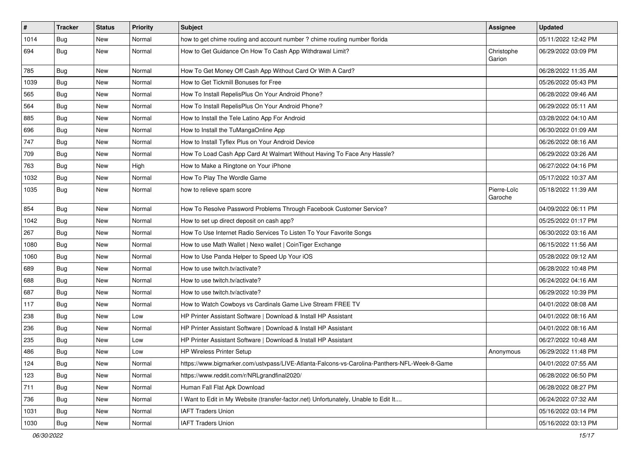| $\vert$ # | <b>Tracker</b> | <b>Status</b> | <b>Priority</b> | Subject                                                                                      | <b>Assignee</b>        | <b>Updated</b>      |
|-----------|----------------|---------------|-----------------|----------------------------------------------------------------------------------------------|------------------------|---------------------|
| 1014      | Bug            | New           | Normal          | how to get chime routing and account number ? chime routing number florida                   |                        | 05/11/2022 12:42 PM |
| 694       | Bug            | New           | Normal          | How to Get Guidance On How To Cash App Withdrawal Limit?                                     | Christophe<br>Garion   | 06/29/2022 03:09 PM |
| 785       | Bug            | <b>New</b>    | Normal          | How To Get Money Off Cash App Without Card Or With A Card?                                   |                        | 06/28/2022 11:35 AM |
| 1039      | Bug            | <b>New</b>    | Normal          | How to Get Tickmill Bonuses for Free                                                         |                        | 05/26/2022 05:43 PM |
| 565       | Bug            | New           | Normal          | How To Install RepelisPlus On Your Android Phone?                                            |                        | 06/28/2022 09:46 AM |
| 564       | Bug            | New           | Normal          | How To Install RepelisPlus On Your Android Phone?                                            |                        | 06/29/2022 05:11 AM |
| 885       | Bug            | <b>New</b>    | Normal          | How to Install the Tele Latino App For Android                                               |                        | 03/28/2022 04:10 AM |
| 696       | <b>Bug</b>     | New           | Normal          | How to Install the TuMangaOnline App                                                         |                        | 06/30/2022 01:09 AM |
| 747       | Bug            | <b>New</b>    | Normal          | How to Install Tyflex Plus on Your Android Device                                            |                        | 06/26/2022 08:16 AM |
| 709       | Bug            | New           | Normal          | How To Load Cash App Card At Walmart Without Having To Face Any Hassle?                      |                        | 06/29/2022 03:26 AM |
| 763       | Bug            | New           | High            | How to Make a Ringtone on Your iPhone                                                        |                        | 06/27/2022 04:16 PM |
| 1032      | Bug            | <b>New</b>    | Normal          | How To Play The Wordle Game                                                                  |                        | 05/17/2022 10:37 AM |
| 1035      | Bug            | New           | Normal          | how to relieve spam score                                                                    | Pierre-Loïc<br>Garoche | 05/18/2022 11:39 AM |
| 854       | Bug            | <b>New</b>    | Normal          | How To Resolve Password Problems Through Facebook Customer Service?                          |                        | 04/09/2022 06:11 PM |
| 1042      | Bug            | <b>New</b>    | Normal          | How to set up direct deposit on cash app?                                                    |                        | 05/25/2022 01:17 PM |
| 267       | <b>Bug</b>     | New           | Normal          | How To Use Internet Radio Services To Listen To Your Favorite Songs                          |                        | 06/30/2022 03:16 AM |
| 1080      | Bug            | New           | Normal          | How to use Math Wallet   Nexo wallet   CoinTiger Exchange                                    |                        | 06/15/2022 11:56 AM |
| 1060      | Bug            | <b>New</b>    | Normal          | How to Use Panda Helper to Speed Up Your iOS                                                 |                        | 05/28/2022 09:12 AM |
| 689       | Bug            | <b>New</b>    | Normal          | How to use twitch.tv/activate?                                                               |                        | 06/28/2022 10:48 PM |
| 688       | <b>Bug</b>     | New           | Normal          | How to use twitch.tv/activate?                                                               |                        | 06/24/2022 04:16 AM |
| 687       | Bug            | New           | Normal          | How to use twitch.tv/activate?                                                               |                        | 06/29/2022 10:39 PM |
| 117       | <b>Bug</b>     | New           | Normal          | How to Watch Cowboys vs Cardinals Game Live Stream FREE TV                                   |                        | 04/01/2022 08:08 AM |
| 238       | <b>Bug</b>     | New           | Low             | HP Printer Assistant Software   Download & Install HP Assistant                              |                        | 04/01/2022 08:16 AM |
| 236       | Bug            | <b>New</b>    | Normal          | HP Printer Assistant Software   Download & Install HP Assistant                              |                        | 04/01/2022 08:16 AM |
| 235       | Bug            | New           | Low             | HP Printer Assistant Software   Download & Install HP Assistant                              |                        | 06/27/2022 10:48 AM |
| 486       | Bug            | New           | Low             | <b>HP Wireless Printer Setup</b>                                                             | Anonymous              | 06/29/2022 11:48 PM |
| 124       | Bug            | New           | Normal          | https://www.bigmarker.com/ustvpass/LIVE-Atlanta-Falcons-vs-Carolina-Panthers-NFL-Week-8-Game |                        | 04/01/2022 07:55 AM |
| 123       | Bug            | New           | Normal          | https://www.reddit.com/r/NRLgrandfinal2020/                                                  |                        | 06/28/2022 06:50 PM |
| 711       | Bug            | New           | Normal          | Human Fall Flat Apk Download                                                                 |                        | 06/28/2022 08:27 PM |
| 736       | Bug            | New           | Normal          | I Want to Edit in My Website (transfer-factor.net) Unfortunately, Unable to Edit It          |                        | 06/24/2022 07:32 AM |
| 1031      | Bug            | New           | Normal          | <b>IAFT Traders Union</b>                                                                    |                        | 05/16/2022 03:14 PM |
| 1030      | <b>Bug</b>     | New           | Normal          | <b>IAFT Traders Union</b>                                                                    |                        | 05/16/2022 03:13 PM |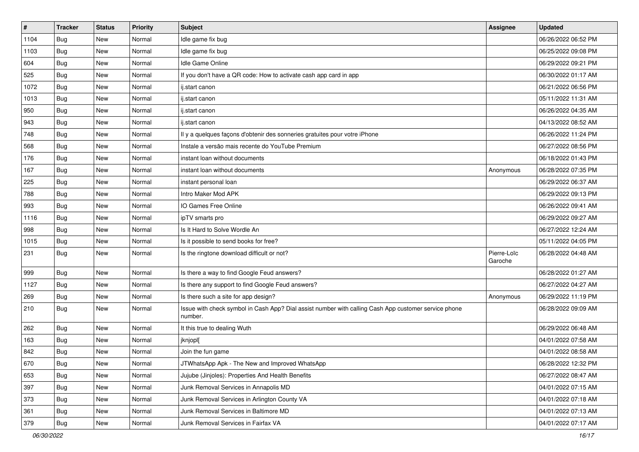| $\vert$ # | <b>Tracker</b> | <b>Status</b> | <b>Priority</b> | <b>Subject</b>                                                                                                  | <b>Assignee</b>        | <b>Updated</b>      |
|-----------|----------------|---------------|-----------------|-----------------------------------------------------------------------------------------------------------------|------------------------|---------------------|
| 1104      | Bug            | New           | Normal          | Idle game fix bug                                                                                               |                        | 06/26/2022 06:52 PM |
| 1103      | Bug            | New           | Normal          | Idle game fix bug                                                                                               |                        | 06/25/2022 09:08 PM |
| 604       | Bug            | New           | Normal          | Idle Game Online                                                                                                |                        | 06/29/2022 09:21 PM |
| 525       | <b>Bug</b>     | <b>New</b>    | Normal          | If you don't have a QR code: How to activate cash app card in app                                               |                        | 06/30/2022 01:17 AM |
| 1072      | Bug            | <b>New</b>    | Normal          | ij.start canon                                                                                                  |                        | 06/21/2022 06:56 PM |
| 1013      | Bug            | <b>New</b>    | Normal          | ij.start canon                                                                                                  |                        | 05/11/2022 11:31 AM |
| 950       | Bug            | <b>New</b>    | Normal          | ij.start canon                                                                                                  |                        | 06/26/2022 04:35 AM |
| 943       | Bug            | New           | Normal          | ij.start canon                                                                                                  |                        | 04/13/2022 08:52 AM |
| 748       | Bug            | <b>New</b>    | Normal          | Il y a quelques façons d'obtenir des sonneries gratuites pour votre iPhone                                      |                        | 06/26/2022 11:24 PM |
| 568       | Bug            | <b>New</b>    | Normal          | Instale a versão mais recente do YouTube Premium                                                                |                        | 06/27/2022 08:56 PM |
| 176       | Bug            | New           | Normal          | instant loan without documents                                                                                  |                        | 06/18/2022 01:43 PM |
| 167       | Bug            | New           | Normal          | instant loan without documents                                                                                  | Anonymous              | 06/28/2022 07:35 PM |
| 225       | Bug            | <b>New</b>    | Normal          | instant personal loan                                                                                           |                        | 06/29/2022 06:37 AM |
| 788       | Bug            | <b>New</b>    | Normal          | Intro Maker Mod APK                                                                                             |                        | 06/29/2022 09:13 PM |
| 993       | Bug            | <b>New</b>    | Normal          | IO Games Free Online                                                                                            |                        | 06/26/2022 09:41 AM |
| 1116      | Bug            | New           | Normal          | ipTV smarts pro                                                                                                 |                        | 06/29/2022 09:27 AM |
| 998       | Bug            | <b>New</b>    | Normal          | Is It Hard to Solve Wordle An                                                                                   |                        | 06/27/2022 12:24 AM |
| 1015      | Bug            | <b>New</b>    | Normal          | Is it possible to send books for free?                                                                          |                        | 05/11/2022 04:05 PM |
| 231       | Bug            | New           | Normal          | Is the ringtone download difficult or not?                                                                      | Pierre-Loïc<br>Garoche | 06/28/2022 04:48 AM |
| 999       | Bug            | <b>New</b>    | Normal          | Is there a way to find Google Feud answers?                                                                     |                        | 06/28/2022 01:27 AM |
| 1127      | Bug            | <b>New</b>    | Normal          | Is there any support to find Google Feud answers?                                                               |                        | 06/27/2022 04:27 AM |
| 269       | Bug            | <b>New</b>    | Normal          | Is there such a site for app design?                                                                            | Anonymous              | 06/29/2022 11:19 PM |
| 210       | Bug            | New           | Normal          | Issue with check symbol in Cash App? Dial assist number with calling Cash App customer service phone<br>number. |                        | 06/28/2022 09:09 AM |
| 262       | Bug            | New           | Normal          | It this true to dealing Wuth                                                                                    |                        | 06/29/2022 06:48 AM |
| 163       | Bug            | New           | Normal          | jknjopl[                                                                                                        |                        | 04/01/2022 07:58 AM |
| 842       | Bug            | New           | Normal          | Join the fun game                                                                                               |                        | 04/01/2022 08:58 AM |
| 670       | Bug            | New           | Normal          | JTWhatsApp Apk - The New and Improved WhatsApp                                                                  |                        | 06/28/2022 12:32 PM |
| 653       | Bug            | New           | Normal          | Jujube (Jinjoles): Properties And Health Benefits                                                               |                        | 06/27/2022 08:47 AM |
| 397       | Bug            | New           | Normal          | Junk Removal Services in Annapolis MD                                                                           |                        | 04/01/2022 07:15 AM |
| 373       | <b>Bug</b>     | New           | Normal          | Junk Removal Services in Arlington County VA                                                                    |                        | 04/01/2022 07:18 AM |
| 361       | Bug            | New           | Normal          | Junk Removal Services in Baltimore MD                                                                           |                        | 04/01/2022 07:13 AM |
| 379       | <b>Bug</b>     | New           | Normal          | Junk Removal Services in Fairfax VA                                                                             |                        | 04/01/2022 07:17 AM |